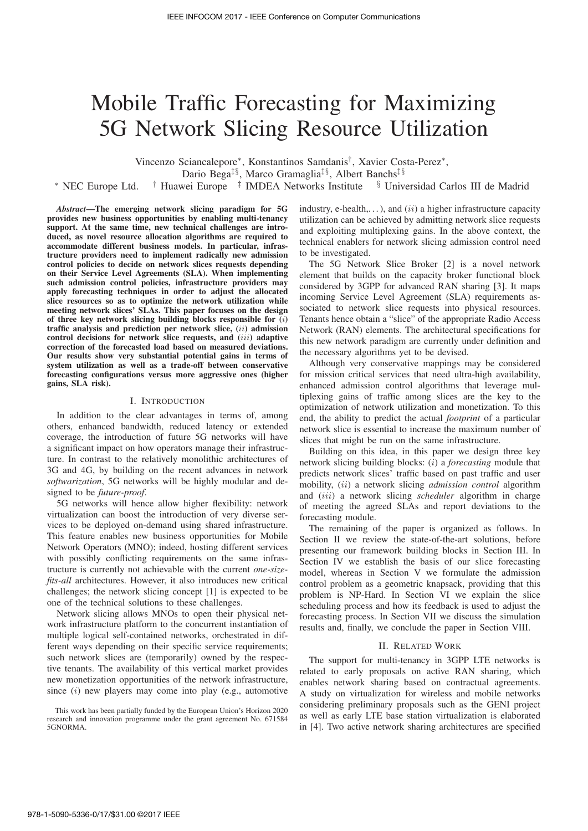# Mobile Traffic Forecasting for Maximizing 5G Network Slicing Resource Utilization

Vincenzo Sciancalepore∗, Konstantinos Samdanis†, Xavier Costa-Perez∗, Dario Bega‡§, Marco Gramaglia‡§, Albert Banchs‡§

∗ NEC Europe Ltd. † Huawei Europe ‡ IMDEA Networks Institute § Universidad Carlos III de Madrid

*Abstract*—The emerging network slicing paradigm for 5G provides new business opportunities by enabling multi-tenancy support. At the same time, new technical challenges are introduced, as novel resource allocation algorithms are required to accommodate different business models. In particular, infrastructure providers need to implement radically new admission control policies to decide on network slices requests depending on their Service Level Agreements (SLA). When implementing such admission control policies, infrastructure providers may apply forecasting techniques in order to adjust the allocated slice resources so as to optimize the network utilization while meeting network slices' SLAs. This paper focuses on the design of three key network slicing building blocks responsible for  $\vec{\theta}$ traffic analysis and prediction per network slice, (ii) admission control decisions for network slice requests, and (iii) adaptive correction of the forecasted load based on measured deviations. Our results show very substantial potential gains in terms of system utilization as well as a trade-off between conservative forecasting configurations versus more aggressive ones (higher gains, SLA risk).

#### I. INTRODUCTION

In addition to the clear advantages in terms of, among others, enhanced bandwidth, reduced latency or extended coverage, the introduction of future 5G networks will have a significant impact on how operators manage their infrastructure. In contrast to the relatively monolithic architectures of 3G and 4G, by building on the recent advances in network *softwarization*, 5G networks will be highly modular and designed to be *future-proof*.

5G networks will hence allow higher flexibility: network virtualization can boost the introduction of very diverse services to be deployed on-demand using shared infrastructure. This feature enables new business opportunities for Mobile Network Operators (MNO); indeed, hosting different services with possibly conflicting requirements on the same infrastructure is currently not achievable with the current *one-sizefits-all* architectures. However, it also introduces new critical challenges; the network slicing concept [1] is expected to be one of the technical solutions to these challenges.

Network slicing allows MNOs to open their physical network infrastructure platform to the concurrent instantiation of multiple logical self-contained networks, orchestrated in different ways depending on their specific service requirements; such network slices are (temporarily) owned by the respective tenants. The availability of this vertical market provides new monetization opportunities of the network infrastructure, since  $(i)$  new players may come into play (e.g., automotive industry, e-health,...), and  $(ii)$  a higher infrastructure capacity utilization can be achieved by admitting network slice requests and exploiting multiplexing gains. In the above context, the technical enablers for network slicing admission control need to be investigated.

The 5G Network Slice Broker [2] is a novel network element that builds on the capacity broker functional block considered by 3GPP for advanced RAN sharing [3]. It maps incoming Service Level Agreement (SLA) requirements associated to network slice requests into physical resources. Tenants hence obtain a "slice" of the appropriate Radio Access Network (RAN) elements. The architectural specifications for this new network paradigm are currently under definition and the necessary algorithms yet to be devised.

Although very conservative mappings may be considered for mission critical services that need ultra-high availability, enhanced admission control algorithms that leverage multiplexing gains of traffic among slices are the key to the optimization of network utilization and monetization. To this end, the ability to predict the actual *footprint* of a particular network slice is essential to increase the maximum number of slices that might be run on the same infrastructure.

Building on this idea, in this paper we design three key network slicing building blocks: (i) a *forecasting* module that predicts network slices' traffic based on past traffic and user mobility, (ii) a network slicing *admission control* algorithm and (iii) a network slicing *scheduler* algorithm in charge of meeting the agreed SLAs and report deviations to the forecasting module.

The remaining of the paper is organized as follows. In Section II we review the state-of-the-art solutions, before presenting our framework building blocks in Section III. In Section IV we establish the basis of our slice forecasting model, whereas in Section V we formulate the admission control problem as a geometric knapsack, providing that this problem is NP-Hard. In Section VI we explain the slice scheduling process and how its feedback is used to adjust the forecasting process. In Section VII we discuss the simulation results and, finally, we conclude the paper in Section VIII.

# II. RELATED WORK

The support for multi-tenancy in 3GPP LTE networks is related to early proposals on active RAN sharing, which enables network sharing based on contractual agreements. A study on virtualization for wireless and mobile networks considering preliminary proposals such as the GENI project as well as early LTE base station virtualization is elaborated in [4]. Two active network sharing architectures are specified

This work has been partially funded by the European Union's Horizon 2020 research and innovation programme under the grant agreement No. 671584 5GNORMA.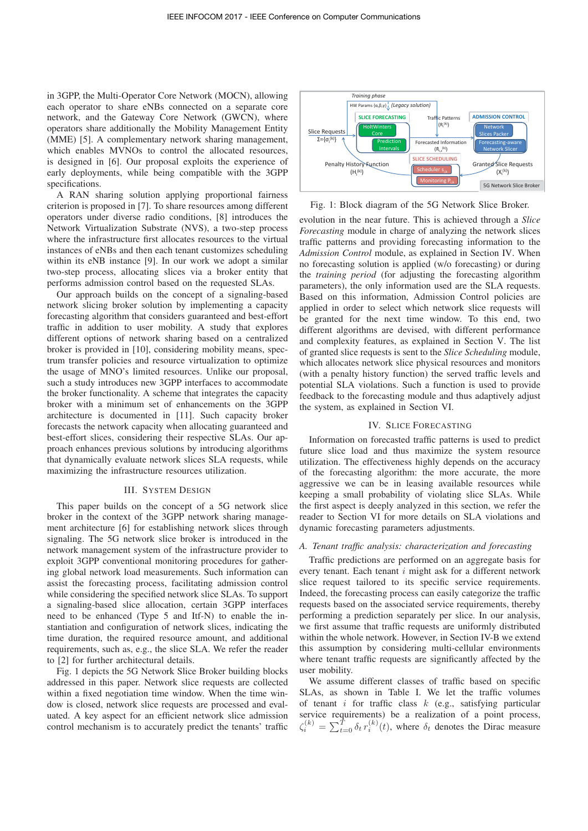in 3GPP, the Multi-Operator Core Network (MOCN), allowing each operator to share eNBs connected on a separate core network, and the Gateway Core Network (GWCN), where operators share additionally the Mobility Management Entity (MME) [5]. A complementary network sharing management, which enables MVNOs to control the allocated resources, is designed in [6]. Our proposal exploits the experience of early deployments, while being compatible with the 3GPP specifications.

A RAN sharing solution applying proportional fairness criterion is proposed in [7]. To share resources among different operators under diverse radio conditions, [8] introduces the Network Virtualization Substrate (NVS), a two-step process where the infrastructure first allocates resources to the virtual instances of eNBs and then each tenant customizes scheduling within its eNB instance [9]. In our work we adopt a similar two-step process, allocating slices via a broker entity that performs admission control based on the requested SLAs.

Our approach builds on the concept of a signaling-based network slicing broker solution by implementing a capacity forecasting algorithm that considers guaranteed and best-effort traffic in addition to user mobility. A study that explores different options of network sharing based on a centralized broker is provided in [10], considering mobility means, spectrum transfer policies and resource virtualization to optimize the usage of MNO's limited resources. Unlike our proposal, such a study introduces new 3GPP interfaces to accommodate the broker functionality. A scheme that integrates the capacity broker with a minimum set of enhancements on the 3GPP architecture is documented in [11]. Such capacity broker forecasts the network capacity when allocating guaranteed and best-effort slices, considering their respective SLAs. Our approach enhances previous solutions by introducing algorithms that dynamically evaluate network slices SLA requests, while maximizing the infrastructure resources utilization.

# III. SYSTEM DESIGN

This paper builds on the concept of a 5G network slice broker in the context of the 3GPP network sharing management architecture [6] for establishing network slices through signaling. The 5G network slice broker is introduced in the network management system of the infrastructure provider to exploit 3GPP conventional monitoring procedures for gathering global network load measurements. Such information can assist the forecasting process, facilitating admission control while considering the specified network slice SLAs. To support a signaling-based slice allocation, certain 3GPP interfaces need to be enhanced (Type 5 and Itf-N) to enable the instantiation and configuration of network slices, indicating the time duration, the required resource amount, and additional requirements, such as, e.g., the slice SLA. We refer the reader to [2] for further architectural details.

Fig. 1 depicts the 5G Network Slice Broker building blocks addressed in this paper. Network slice requests are collected within a fixed negotiation time window. When the time window is closed, network slice requests are processed and evaluated. A key aspect for an efficient network slice admission control mechanism is to accurately predict the tenants' traffic



Fig. 1: Block diagram of the 5G Network Slice Broker.

evolution in the near future. This is achieved through a *Slice Forecasting* module in charge of analyzing the network slices traffic patterns and providing forecasting information to the *Admission Control* module, as explained in Section IV. When no forecasting solution is applied (w/o forecasting) or during the *training period* (for adjusting the forecasting algorithm parameters), the only information used are the SLA requests. Based on this information, Admission Control policies are applied in order to select which network slice requests will be granted for the next time window. To this end, two different algorithms are devised, with different performance and complexity features, as explained in Section V. The list of granted slice requests is sent to the *Slice Scheduling* module, which allocates network slice physical resources and monitors (with a penalty history function) the served traffic levels and potential SLA violations. Such a function is used to provide feedback to the forecasting module and thus adaptively adjust the system, as explained in Section VI.

#### IV. SLICE FORECASTING

Information on forecasted traffic patterns is used to predict future slice load and thus maximize the system resource utilization. The effectiveness highly depends on the accuracy of the forecasting algorithm: the more accurate, the more aggressive we can be in leasing available resources while keeping a small probability of violating slice SLAs. While the first aspect is deeply analyzed in this section, we refer the reader to Section VI for more details on SLA violations and dynamic forecasting parameters adjustments.

# *A. Tenant traffic analysis: characterization and forecasting*

Traffic predictions are performed on an aggregate basis for every tenant. Each tenant  $i$  might ask for a different network slice request tailored to its specific service requirements. Indeed, the forecasting process can easily categorize the traffic requests based on the associated service requirements, thereby performing a prediction separately per slice. In our analysis, we first assume that traffic requests are uniformly distributed within the whole network. However, in Section IV-B we extend this assumption by considering multi-cellular environments where tenant traffic requests are significantly affected by the user mobility.

We assume different classes of traffic based on specific SLAs, as shown in Table I. We let the traffic volumes of tenant  $i$  for traffic class  $k$  (e.g., satisfying particular service requirements) be a realization of a point process,  $\zeta_i^{(k)} = \sum_{t=0}^T \delta_t r_i^{(k)}(t)$ , where  $\delta_t$  denotes the Dirac measure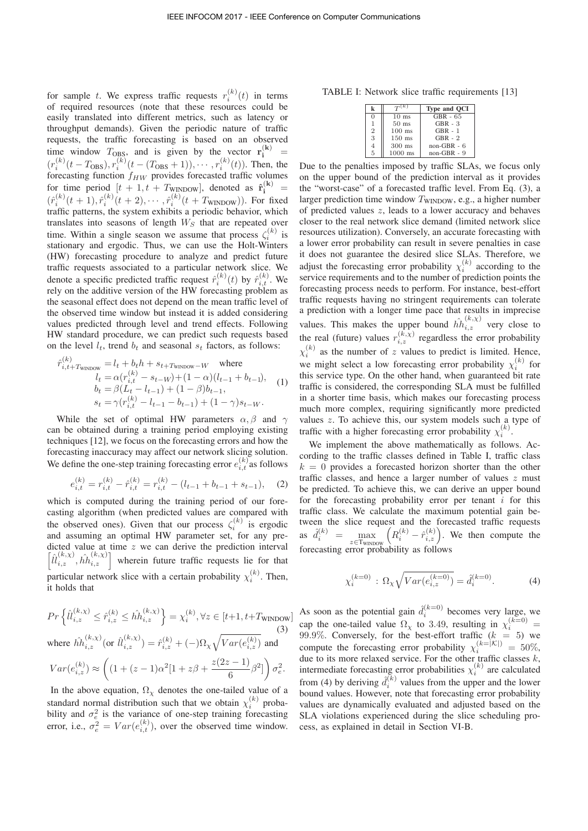for sample t. We express traffic requests  $r_i^{(k)}(t)$  in terms of required resources (note that these resources could be of required resources (note that these resources could be easily translated into different metrics, such as latency or throughput demands). Given the periodic nature of traffic requests, the traffic forecasting is based on an observed time window  $T_{\text{OBS}}$ , and is given by the vector  $\mathbf{r}_{\text{i}}^{(k)} = (r_i^{(k)}(t - T_{\text{OBS}}), r_i^{(k)}(t - (T_{\text{OBS}} + 1)), \cdots, r_i^{(k)}(t))$ . Then, the forecasting function  $f_{HW}$  provides forecasted traffic volumes for time period  $[t + 1, t + T_{\text{WINDOW}}]$ , denoted as  $\hat{\mathbf{r}}_i^{(k)} = (\hat{r}_i^{(k)}(t + 1), \hat{r}_i^{(k)}(t + 2), \cdots, \hat{r}_i^{(k)}(t + T_{\text{WINDOW}}))$ . For fixed traffic patterns, the system exhibits a periodic behavior, which translates into seasons of length  $W_S$  that are repeated over time. Within a single season we assume that process  $\zeta_i^{(k)}$  is stationary and ergodic. Thus, we can use the Holt-Winters (HW) forecasting procedure to analyze and predict future traffic requests associated to a particular network slice. We denote a specific predicted traffic request  $\hat{r}_i^{(k)}(t)$  by  $\hat{r}_i^{(k)}$ . We rely on the additive version of the HW forecasting problem as rely on the additive version of the HW forecasting problem as the seasonal effect does not depend on the mean traffic level of the observed time window but instead it is added considering values predicted through level and trend effects. Following HW standard procedure, we can predict such requests based on the level  $l_t$ , trend  $b_t$  and seasonal  $s_t$  factors, as follows:

$$
\hat{r}_{i,t+T_{\text{WINDOW}}}^{(k)} = l_t + b_t h + s_{t+T_{\text{WINDOW}}-W} \quad \text{where}
$$
\n
$$
l_t = \alpha (r_{i,t}^{(k)} - s_{t-W}) + (1 - \alpha)(l_{t-1} + b_{t-1}),
$$
\n
$$
b_t = \beta (L_t - l_{t-1}) + (1 - \beta)b_{t-1},
$$
\n
$$
s_t = \gamma (r_{i,t}^{(k)} - l_{t-1} - b_{t-1}) + (1 - \gamma)s_{t-W}.
$$
\n(1)

While the set of optimal HW parameters  $\alpha, \beta$  and  $\gamma$ can be obtained during a training period employing existing techniques [12], we focus on the forecasting errors and how the forecasting inaccuracy may affect our network slicing solution. We define the one-step training forecasting error  $e_{i,t}^{(k)}$  as follows

$$
e_{i,t}^{(k)} = r_{i,t}^{(k)} - \hat{r}_{i,t}^{(k)} = r_{i,t}^{(k)} - (l_{t-1} + b_{t-1} + s_{t-1}), \quad (2)
$$

which is computed during the training period of our forecasting algorithm (when predicted values are compared with the observed ones). Given that our process  $\zeta_i^{(k)}$  is ergodic and assuming an optimal HW parameter set, for any predicted value at time  $z$  we can derive the prediction interval  $\left[\hat{u}_{i,z}^{(k,\chi)},\hat{h}_{i,z}^{(k,\chi)}\right]$  wherein future traffic requests lie for that particular network slice with a certain probability  $\chi_i^{(k)}$ . Then, it holds that

$$
Pr\left\{\hat{\mu}_{i,z}^{(k,\chi)} \le \hat{r}_{i,z}^{(k)} \le h\hat{h}_{i,z}^{(k,\chi)}\right\} = \chi_i^{(k)}, \forall z \in [t+1, t+T_{\text{WINDOW}}] \tag{3}
$$
  
where  $h\hat{h}_{i,z}^{(k,\chi)}(\text{or } \hat{\mu}_{i,z}^{(k,\chi)}) = \hat{r}_{i,z}^{(k)} + (-)\Omega_{\chi}\sqrt{Var(e_{i,z}^{(k)})} \text{ and}$   

$$
Var(e_{i,z}^{(k)}) \approx \left((1+(z-1)\alpha^2[1+z\beta + \frac{z(2z-1)}{6}\beta^2]\right)\sigma_e^2.
$$

In the above equation,  $\Omega_{\chi}$  denotes the one-tailed value of a<br>tenderd normal distribution such that we obtain  $\chi^{(k)}$  probe standard normal distribution such that we obtain  $\chi_i^{(k)}$  probability and  $\sigma_e^2$  is the variance of one-step training forecasting error, i.e.,  $\sigma_e^2 = Var(e_{i,t}^{(k)})$ , over the observed time window.

TABLE I: Network slice traffic requirements [13]

| k              | $T^{(k)}$       | Type and QCI  |
|----------------|-----------------|---------------|
| O              | $10 \text{ ms}$ | $GBR - 65$    |
|                | $50$ ms         | $GBR - 3$     |
| $\overline{2}$ | $100$ ms        | $GBR - 1$     |
| 3              | $150$ ms        | $GBR - 2$     |
|                | $300$ ms        | $non-GBR - 6$ |
| 5              | $1000$ ms       | $non-GBR - 9$ |

Due to the penalties imposed by traffic SLAs, we focus only on the upper bound of the prediction interval as it provides the "worst-case" of a forecasted traffic level. From Eq. (3), a larger prediction time window  $T_{\text{WINDOW}}$ , e.g., a higher number of predicted values z, leads to a lower accuracy and behaves closer to the real network slice demand (limited network slice resources utilization). Conversely, an accurate forecasting with a lower error probability can result in severe penalties in case it does not guarantee the desired slice SLAs. Therefore, we adjust the forecasting error probability  $\chi_i^{(k)}$  according to the service requirements and to the number of prediction points the forecasting process needs to perform. For instance, best-effort traffic requests having no stringent requirements can tolerate a prediction with a longer time pace that results in imprecise values. This makes the upper bound  $\hat{h}^{(k,\chi)}_{i,z}$  very close to the real (future) values  $r_{i,z}^{(k,\chi)}$  regardless the error probability  $\chi_i^{(k)}$  as the number of z values to predict is limited. Hence, we might select a low forecasting error probability  $\chi_i^{(k)}$  for this service type. On the other hand, when guaranteed bit rate traffic is considered, the corresponding SLA must be fulfilled in a shorter time basis, which makes our forecasting process much more complex, requiring significantly more predicted values z. To achieve this, our system models such a type of traffic with a higher forecasting error probability  $\chi_i^{(k)}$ .

We implement the above mathematically as follows. According to the traffic classes defined in Table I, traffic class  $k = 0$  provides a forecasted horizon shorter than the other traffic classes, and hence a larger number of values  $z$  must be predicted. To achieve this, we can derive an upper bound for the forecasting probability error per tenant  $i$  for this traffic class. We calculate the maximum potential gain between the slice request and the forecasted traffic requests as  $\hat{d}_i^{(k)} = \max_{z \in \text{Twinbow}}$  $\left(R_i^{(k)} - \hat{r}_{i,z}^{(k)}\right)$ . We then compute the forecasting error probability as follows

$$
\chi_i^{(k=0)} : \Omega_\chi \sqrt{Var(e_{i,z}^{(k=0)})} = \hat{d}_i^{(k=0)}.
$$
 (4)

As soon as the potential gain  $\hat{d}_i^{(k=0)}$  becomes very large, we cap the one-tailed value  $\Omega_{\chi}$  to 3.49, resulting in  $\chi_i^{(k=0)}$  = 99.9%. Conversely, for the best-effort traffic  $(k = 5)$  we compute the forecasting error probability  $\chi_i^{(k=|K|)} = 50\%$ , due to its more relaxed servic intermediate forecasting error probabilities  $\chi_i^{(k)}$  are calculated from (4) by deriving  $\hat{d}_i^{(k)}$  values from the upper and the lower bound values. However, note that forecasting error probability values are dynamically evaluated and adjusted based on the SLA violations experienced during the slice scheduling process, as explained in detail in Section VI-B.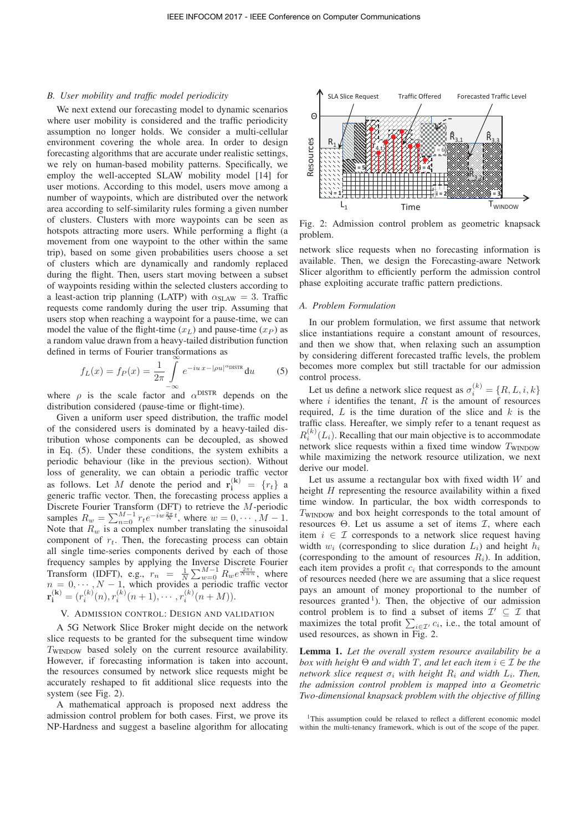#### *B. User mobility and traffic model periodicity*

We next extend our forecasting model to dynamic scenarios where user mobility is considered and the traffic periodicity assumption no longer holds. We consider a multi-cellular environment covering the whole area. In order to design forecasting algorithms that are accurate under realistic settings, we rely on human-based mobility patterns. Specifically, we employ the well-accepted SLAW mobility model [14] for user motions. According to this model, users move among a number of waypoints, which are distributed over the network area according to self-similarity rules forming a given number of clusters. Clusters with more waypoints can be seen as hotspots attracting more users. While performing a flight (a movement from one waypoint to the other within the same trip), based on some given probabilities users choose a set of clusters which are dynamically and randomly replaced during the flight. Then, users start moving between a subset of waypoints residing within the selected clusters according to a least-action trip planning (LATP) with  $\alpha_{SLAW} = 3$ . Traffic requests come randomly during the user trip. Assuming that users stop when reaching a waypoint for a pause-time, we can model the value of the flight-time  $(x_L)$  and pause-time  $(x_P)$  as a random value drawn from a heavy-tailed distribution function defined in terms of Fourier transformations as

$$
f_L(x) = f_P(x) = \frac{1}{2\pi} \int_{-\infty}^{\infty} e^{-iu \, x - |\rho u|^{\alpha_{\text{DISTR}}}} du \qquad (5)
$$
  
where  $\rho$  is the scale factor and  $\alpha^{\text{DISTR}}$  depends on the

distribution considered (pause-time or flight-time).

Given a uniform user speed distribution, the traffic model of the considered users is dominated by a heavy-tailed distribution whose components can be decoupled, as showed in Eq. (5). Under these conditions, the system exhibits a periodic behaviour (like in the previous section). Without loss of generality, we can obtain a periodic traffic vector as follows. Let M denote the period and  $\mathbf{r}_i^{(k)} = \{r_t\}$  a generic traffic vector. Then, the forecasting process applies a Discrete Fourier Transform (DFT) to retrieve the M-periodic samples  $R_w = \sum_{n=0}^{M-1} r_t e^{-iw\frac{2\pi}{N}t}$ , where  $w = 0, \cdots, M-1$ .<br>Note that R is a complex number translating the sinusoidal Note that  $R_w$  is a complex number translating the sinusoidal component of  $r_t$ . Then, the forecasting process can obtain all single time-series components derived by each of those frequency samples by applying the Inverse Discrete Fourier Transform (IDFT), e.g.,  $r_n = \frac{1}{N} \sum_{w=0}^{M-1} R_w e^{\frac{2\pi i}{N w_n}}$ , where  $n = 0, \dots, N - 1$ , which provides a periodic traffic vector  $\mathbf{r}_i^{(\mathbf{k})} = (r_i^{(k)}(n), r_i^{(k)}(n+1), \dots, r_i^{(k)}(n+M)).$ 

# V. ADMISSION CONTROL: DESIGN AND VALIDATION

A 5G Network Slice Broker might decide on the network slice requests to be granted for the subsequent time window  $T_{\text{WINDOW}}$  based solely on the current resource availability. However, if forecasting information is taken into account, the resources consumed by network slice requests might be accurately reshaped to fit additional slice requests into the system (see Fig. 2).

A mathematical approach is proposed next address the admission control problem for both cases. First, we prove its NP-Hardness and suggest a baseline algorithm for allocating



Fig. 2: Admission control problem as geometric knapsack problem.

network slice requests when no forecasting information is available. Then, we design the Forecasting-aware Network Slicer algorithm to efficiently perform the admission control phase exploiting accurate traffic pattern predictions.

# *A. Problem Formulation*

In our problem formulation, we first assume that network slice instantiations require a constant amount of resources, and then we show that, when relaxing such an assumption by considering different forecasted traffic levels, the problem becomes more complex but still tractable for our admission control process.

Let us define a network slice request as  $\sigma_i^{(k)} = \{R, L, i, k\}$ <br>nere *i* identifies the tenant R is the amount of resources where  $i$  identifies the tenant,  $R$  is the amount of resources required,  $L$  is the time duration of the slice and  $k$  is the traffic class. Hereafter, we simply refer to a tenant request as  $R_i^{(k)}(L_i)$ . Recalling that our main objective is to accommodate<br>network slice requests within a fixed time window Tuppow network slice requests within a fixed time window  $T_{\text{WINDOW}}$ while maximizing the network resource utilization, we next derive our model.

Let us assume a rectangular box with fixed width W and height  $H$  representing the resource availability within a fixed time window. In particular, the box width corresponds to  $T_{\text{WINDOW}}$  and box height corresponds to the total amount of resources Θ. Let us assume a set of items  $I$ , where each item  $i \in \mathcal{I}$  corresponds to a network slice request having width  $w_i$  (corresponding to slice duration  $L_i$ ) and height  $h_i$ (corresponding to the amount of resources  $R_i$ ). In addition, each item provides a profit  $c_i$  that corresponds to the amount of resources needed (here we are assuming that a slice request pays an amount of money proportional to the number of resources granted  $\frac{1}{1}$ . Then, the objective of our admission control problem is to find a subset of items  $\mathcal{I}' \subset \mathcal{I}$  that maximizes the total profit  $\sum_{i \in \mathcal{I}'} c_i$ , i.e., the total amount of used resources, as shown in Fig. 2.

Lemma 1. *Let the overall system resource availability be a box with height* Θ *and width* <sup>T</sup>*, and let each item* <sup>i</sup> ∈ I *be the network slice request*  $\sigma_i$  *with height*  $R_i$  *and width*  $L_i$ *. Then, the admission control problem is mapped into a Geometric Two-dimensional knapsack problem with the objective of filling*

<sup>&</sup>lt;sup>1</sup>This assumption could be relaxed to reflect a different economic model within the multi-tenancy framework, which is out of the scope of the paper.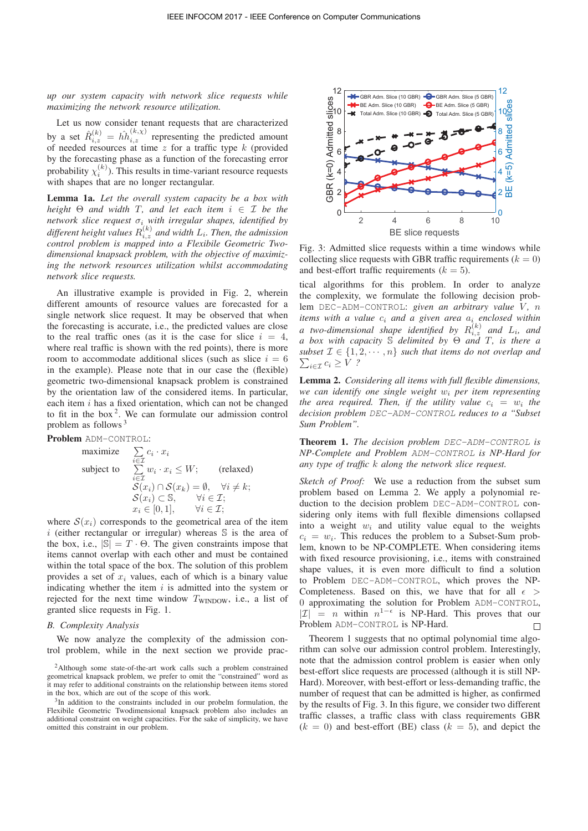*up our system capacity with network slice requests while maximizing the network resource utilization.*

Let us now consider tenant requests that are characterized by a set  $\hat{R}_{i,z}^{(k)} = h \hat{h}_{i,z}^{(k,\chi)}$  representing the predicted amount of needed resources at time z for a traffic type k (provided of needed resources at time z for a traffic type  $k$  (provided by the forecasting phase as a function of the forecasting error probability  $\chi_i^{(k)}$ ). This results in time-variant resource requests with shapes that are no longer rectangular.

Lemma 1a. *Let the overall system capacity be a box with height* Θ *and width* <sup>T</sup>*, and let each item* <sup>i</sup> ∈ I *be the network slice request* σ<sup>i</sup> *with irregular shapes, identified by* different height values  $R_{i,z}^{(k)}$  and width  $L_i$ . Then, the admission *control problem is mapped into a Flexibile Geometric Twodimensional knapsack problem, with the objective of maximizing the network resources utilization whilst accommodating network slice requests.*

An illustrative example is provided in Fig. 2, wherein different amounts of resource values are forecasted for a single network slice request. It may be observed that when the forecasting is accurate, i.e., the predicted values are close to the real traffic ones (as it is the case for slice  $i = 4$ , where real traffic is shown with the red points), there is more room to accommodate additional slices (such as slice  $i = 6$ in the example). Please note that in our case the (flexible) geometric two-dimensional knapsack problem is constrained by the orientation law of the considered items. In particular, each item  $i$  has a fixed orientation, which can not be changed to fit in the box 2. We can formulate our admission control problem as follows <sup>3</sup>

Problem ADM-CONTROL:

maximize  $\sum_{i\in\mathcal{I}}c_i\cdot x_i$ subject to  $\sum_{i \in \mathcal{I}}^{\infty} w_i \cdot x_i \leq W;$  (relaxed)  $\overline{\mathcal{S}}(x_i) \cap \mathcal{S}(x_k) = \emptyset, \quad \forall i \neq k;$ <br> $\mathcal{S}(x_i) \subset \mathbb{S} \quad \forall i \in \mathcal{T}$  $S(x_i) \subset \mathbb{S}, \quad \forall i \in \mathcal{I};$ <br> $x_i \in [0, 1] \quad \forall i \in \mathcal{I}.$  $x_i \in [0, 1], \quad \forall i \in \mathcal{I};$ <br>rds to the compatrical

where  $S(x_i)$  corresponds to the geometrical area of the item<br>i (either rectangular or irregular) whereas  $\hat{\mathbb{S}}$  is the area of  $i$  (either rectangular or irregular) whereas  $S$  is the area of the box, i.e.,  $|\mathbb{S}| = T \cdot \Theta$ . The given constraints impose that items cannot overlap with each other and must be contained within the total space of the box. The solution of this problem provides a set of  $x_i$  values, each of which is a binary value indicating whether the item  $i$  is admitted into the system or rejected for the next time window  $T_{\text{WINDOW}}$ , i.e., a list of granted slice requests in Fig. 1.

#### *B. Complexity Analysis*

We now analyze the complexity of the admission control problem, while in the next section we provide prac-



Fig. 3: Admitted slice requests within a time windows while collecting slice requests with GBR traffic requirements ( $k = 0$ ) and best-effort traffic requirements  $(k = 5)$ .

tical algorithms for this problem. In order to analyze the complexity, we formulate the following decision problem DEC-ADM-CONTROL: *given an arbitrary value* V, *n items with a value* c<sup>i</sup> *and a given area* a<sup>i</sup> *enclosed within a* two-dimensional shape identified by  $R_{i,z}^{(k)}$  and  $L_i$ , and *a box with capacity* <sup>S</sup> *delimited by* Θ *and* <sup>T</sup>*, is there a*  $\sum_{i\in\mathcal{I}}c_i\geq V$  ? *subset*  $\mathcal{I} \in \{1, 2, \dots, n\}$  *such that items do not overlap and* 

Lemma 2. *Considering all items with full flexible dimensions, we can identify one single weight* w<sup>i</sup> *per item representing the area required. Then, if the utility value*  $c_i = w_i$  *the decision problem* DEC-ADM-CONTROL *reduces to a "Subset Sum Problem".*

Theorem 1. *The decision problem* DEC-ADM-CONTROL *is NP-Complete and Problem* ADM-CONTROL *is NP-Hard for any type of traffic* k *along the network slice request.*

*Sketch of Proof:* We use a reduction from the subset sum problem based on Lemma 2. We apply a polynomial reduction to the decision problem DEC-ADM-CONTROL considering only items with full flexible dimensions collapsed into a weight  $w_i$  and utility value equal to the weights  $c_i = w_i$ . This reduces the problem to a Subset-Sum problem, known to be NP-COMPLETE. When considering items with fixed resource provisioning, i.e., items with constrained shape values, it is even more difficult to find a solution to Problem DEC-ADM-CONTROL, which proves the NP-Completeness. Based on this, we have that for all  $\epsilon$  > 0 approximating the solution for Problem ADM-CONTROL,  $|T| = n$  within  $n^{1-\epsilon}$  is NP-Hard. This proves that our  $|\mathcal{I}| = n$  within  $n^{1-\epsilon}$  is NP-Hard. This proves that our Problem ADM-CONTROL is NP-Hard Problem ADM-CONTROL is NP-Hard.

Theorem 1 suggests that no optimal polynomial time algorithm can solve our admission control problem. Interestingly, note that the admission control problem is easier when only best-effort slice requests are processed (although it is still NP-Hard). Moreover, with best-effort or less-demanding traffic, the number of request that can be admitted is higher, as confirmed by the results of Fig. 3. In this figure, we consider two different traffic classes, a traffic class with class requirements GBR  $(k = 0)$  and best-effort (BE) class  $(k = 5)$ , and depict the

<sup>&</sup>lt;sup>2</sup>Although some state-of-the-art work calls such a problem constrained geometrical knapsack problem, we prefer to omit the "constrained" word as it may refer to additional constraints on the relationship between items stored in the box, which are out of the scope of this work.

<sup>&</sup>lt;sup>3</sup>In addition to the constraints included in our probelm formulation, the Flexibile Geometric Twodimensional knapsack problem also includes an additional constraint on weight capacities. For the sake of simplicity, we have omitted this constraint in our problem.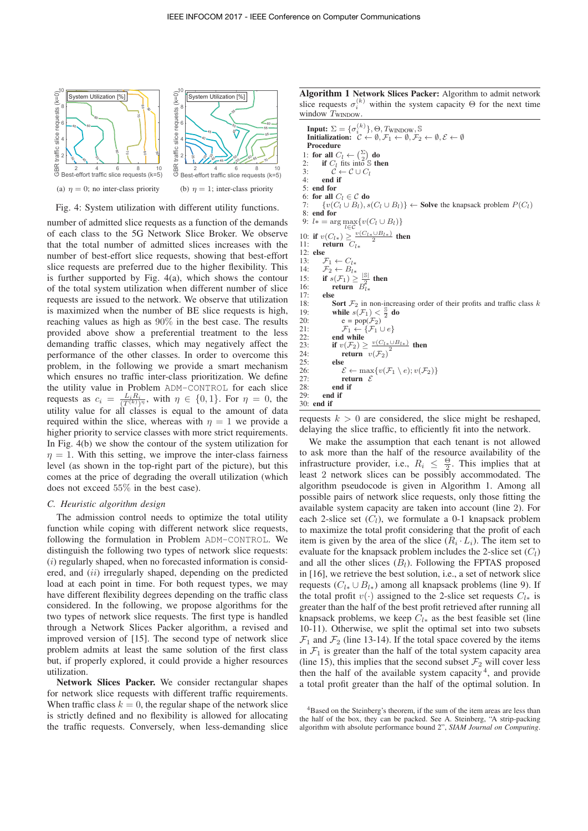

#### Fig. 4: System utilization with different utility functions.

number of admitted slice requests as a function of the demands of each class to the 5G Network Slice Broker. We observe that the total number of admitted slices increases with the number of best-effort slice requests, showing that best-effort slice requests are preferred due to the higher flexibility. This is further supported by Fig. 4(a), which shows the contour of the total system utilization when different number of slice requests are issued to the network. We observe that utilization is maximized when the number of BE slice requests is high, reaching values as high as 90% in the best case. The results provided above show a preferential treatment to the less demanding traffic classes, which may negatively affect the performance of the other classes. In order to overcome this problem, in the following we provide a smart mechanism which ensures no traffic inter-class prioritization. We define the utility value in Problem ADM-CONTROL for each slice requests as  $c_i = \frac{L_i R_i}{(T(k))\eta}$ , with  $\eta \in \{0, 1\}$ . For  $\eta = 0$ , the utility value for all classes is equal to the amount of data required within the slice, whereas with  $\eta = 1$  we provide a higher priority to service classes with more strict requirements. In Fig. 4(b) we show the contour of the system utilization for  $\eta = 1$ . With this setting, we improve the inter-class fairness level (as shown in the top-right part of the picture), but this comes at the price of degrading the overall utilization (which does not exceed 55% in the best case).

# *C. Heuristic algorithm design*

The admission control needs to optimize the total utility function while coping with different network slice requests, following the formulation in Problem ADM-CONTROL. We distinguish the following two types of network slice requests:  $(i)$  regularly shaped, when no forecasted information is considered, and *(ii)* irregularly shaped, depending on the predicted load at each point in time. For both request types, we may have different flexibility degrees depending on the traffic class considered. In the following, we propose algorithms for the two types of network slice requests. The first type is handled through a Network Slices Packer algorithm, a revised and improved version of [15]. The second type of network slice problem admits at least the same solution of the first class but, if properly explored, it could provide a higher resources utilization.

Network Slices Packer. We consider rectangular shapes for network slice requests with different traffic requirements. When traffic class  $k = 0$ , the regular shape of the network slice is strictly defined and no flexibility is allowed for allocating the traffic requests. Conversely, when less-demanding slice Algorithm 1 Network Slices Packer: Algorithm to admit network slice requests  $\sigma_i^{(k)}$  within the system capacity  $\Theta$  for the next time window  $T_{\text{WINDOW}}$ .

**Input:**  $\Sigma = \{\sigma_i^{(k)}\}, \Theta, T_{\text{WINDOW}}, \mathbb{S}$ <br> **Initialization:**  $\mathcal{C} \leftarrow \emptyset, \mathcal{F}_1 \leftarrow \emptyset, \mathcal{F}_2 \leftarrow \emptyset, \mathcal{E} \leftarrow \emptyset$ Procedure 1: for all  $C_l \leftarrow \begin{pmatrix} \Sigma \\ 2 \end{pmatrix}$  do<br>2: if  $C_l$  fits into S then 3:  $\mathcal{C} \leftarrow \mathcal{C} \cup C_l$ <br>4: end if  $4:$  end if<br>5: end for 5: end for 6: for all  $C_l \in \mathcal{C}$  do  $\{v(C_l \cup B_l), s(C_l \cup B_l)\}\leftarrow$  Solve the knapsack problem  $P(C_l)$ 8: end for<br>9:  $l* = \arg \max_{l} \{v(C_l \cup B_l)\}$ 9:  $l* = \arg \max_{l \in \mathcal{C}} \{v(C_l \cup B_l)\}\$ 10: if  $v(C_{l*}) \geq \frac{v(C_{l*} \cup B_{l*})}{2}$  then 11: **return**  $C_{l*}$ <br>12: **else** 13:  $\mathcal{F}_1 \leftarrow C_{l*}$ <br>14:  $\mathcal{F}_2 \leftarrow B_{l*}$ 14:  $\mathcal{F}_2 \leftarrow B_{l*}$ <br>15: if  $s(\mathcal{F}_1)$ 15: if  $s(\mathcal{F}_1) \geq \frac{|\mathbb{S}|}{2}$  then<br>16: return  $B_{1}$ 16: return  $B_{l*}$  $\frac{17}{18}$ : 18: **Sort**  $\mathcal{F}_2$  in non-increasing order of their profits and traffic class k 19: **while**  $s(\mathcal{F}_1) < \frac{8}{3}$  do 19: while  $s(\mathcal{F}_1) < \frac{8}{2}$  do<br>
20: e = pop( $\mathcal{F}_2$ ) 20:  $e = pop(\mathcal{F}_2)$ <br>21:  $\mathcal{F}_1 \leftarrow {\mathcal{F}_1}$ 21:  $\mathcal{F}_1 \leftarrow {\mathcal{F}_1 \cup e}$ <br>22: end while 22: **end while**<br>
23: **if**  $v(\mathcal{F}_2) \geq \frac{v(C_{l*} \cup B_{l*})}{2}$  then 24:  $return^{-}v(\mathcal{F}_2)$ <br>25: else 25: else<br>26:  $\frac{\partial}{\partial \theta}$ 26:  $\mathcal{E} \leftarrow \max \{ v(\mathcal{F}_1 \setminus e); v(\mathcal{F}_2) \}$ <br>
27: return  $\mathcal{E}$ 27: return  $\mathcal{E}$ <br>28: end if 28: end if<br>  $29 \cdot$  end if end if 30: end if

requests  $k > 0$  are considered, the slice might be reshaped, delaying the slice traffic, to efficiently fit into the network.

We make the assumption that each tenant is not allowed to ask more than the half of the resource availability of the infrastructure provider, i.e.,  $R_i \leq \frac{\Theta}{2}$ . This implies that at least 2 network slices can be possibly accommodated. The algorithm pseudocode is given in Algorithm 1. Among all possible pairs of network slice requests, only those fitting the available system capacity are taken into account (line 2). For each 2-slice set  $(C_l)$ , we formulate a 0-1 knapsack problem to maximize the total profit considering that the profit of each item is given by the area of the slice  $(R_i \cdot L_i)$ . The item set to evaluate for the knapsack problem includes the 2-slice set  $(C_l)$ and all the other slices  $(B_l)$ . Following the FPTAS proposed in [16], we retrieve the best solution, i.e., a set of network slice requests ( $C_{l*} \cup B_{l*}$ ) among all knapsack problems (line 9). If the total profit v(·) assigned to the 2-slice set requests  $C_{l*}$  is greater than the half of the best profit retrieved after running all knapsack problems, we keep  $C_{l*}$  as the best feasible set (line 10-11). Otherwise, we split the optimal set into two subsets  $\mathcal{F}_1$  and  $\mathcal{F}_2$  (line 13-14). If the total space covered by the items in  $\mathcal{F}_1$  is greater than the half of the total system capacity area (line 15), this implies that the second subset  $\mathcal{F}_2$  will cover less then the half of the available system capacity<sup>4</sup>, and provide a total profit greater than the half of the optimal solution. In

<sup>4</sup>Based on the Steinberg's theorem, if the sum of the item areas are less than the half of the box, they can be packed. See A. Steinberg, "A strip-packing algorithm with absolute performance bound 2", *SIAM Journal on Computing*.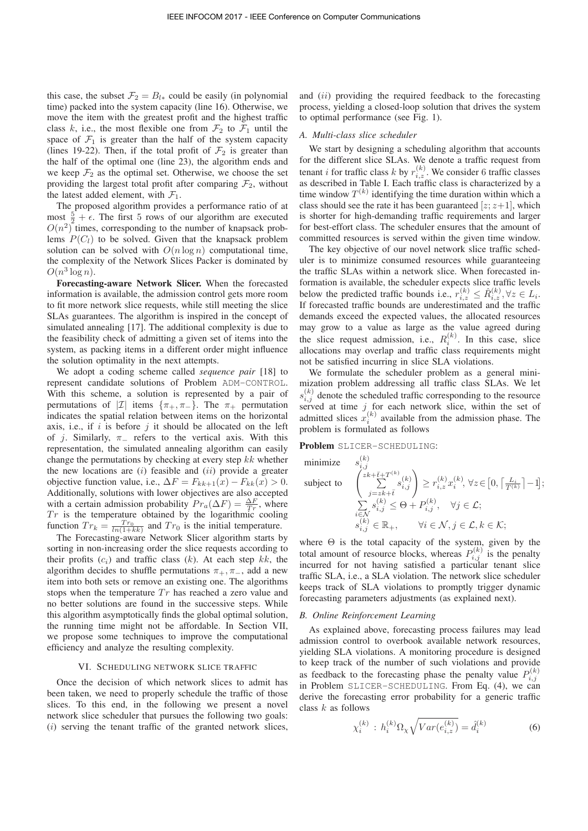this case, the subset  $\mathcal{F}_2 = B_{l*}$  could be easily (in polynomial time) packed into the system capacity (line 16). Otherwise, we move the item with the greatest profit and the highest traffic class k, i.e., the most flexible one from  $\mathcal{F}_2$  to  $\mathcal{F}_1$  until the space of  $\mathcal{F}_1$  is greater than the half of the system capacity (lines 19-22). Then, if the total profit of  $\mathcal{F}_2$  is greater than the half of the optimal one (line 23), the algorithm ends and we keep  $\mathcal{F}_2$  as the optimal set. Otherwise, we choose the set providing the largest total profit after comparing  $\mathcal{F}_2$ , without the latest added element, with  $\mathcal{F}_1$ .

The proposed algorithm provides a performance ratio of at most  $\frac{5}{2} + \epsilon$ . The first 5 rows of our algorithm are executed  $O(n^2)$  times, corresponding to the number of knapsack prob- $O(n^2)$  times, corresponding to the number of knapsack problems  $P(C_l)$  to be solved. Given that the knapsack problem solution can be solved with  $O(n \log n)$  computational time, the complexity of the Network Slices Packer is dominated by  $O(n^3 \log n)$ .

Forecasting-aware Network Slicer. When the forecasted information is available, the admission control gets more room to fit more network slice requests, while still meeting the slice SLAs guarantees. The algorithm is inspired in the concept of simulated annealing [17]. The additional complexity is due to the feasibility check of admitting a given set of items into the system, as packing items in a different order might influence the solution optimality in the next attempts.

We adopt a coding scheme called *sequence pair* [18] to represent candidate solutions of Problem ADM-CONTROL. With this scheme, a solution is represented by a pair of permutations of |Z| items  $\{\pi_+,\pi_-\}$ . The  $\pi_+$  permutation indicates the spatial relation between items on the horizontal axis, i.e., if  $i$  is before  $j$  it should be allocated on the left of j. Similarly,  $\pi_$  refers to the vertical axis. With this representation, the simulated annealing algorithm can easily change the permutations by checking at every step  $kk$  whether the new locations are  $(i)$  feasible and  $(ii)$  provide a greater objective function value, i.e.,  $\Delta F = F_{kk+1}(x) - F_{kk}(x) > 0$ . Additionally, solutions with lower objectives are also accepted with a certain admission probability  $Pr_a(\Delta F) = \frac{\Delta F}{Tr}$ , where  $Tr$  is the temperature obtained by the logarithmic cooling  $Tr$  is the temperature obtained by the logarithmic cooling function  $Tr_k = \frac{Tr_0}{ln(1+kk)}$  and  $Tr_0$  is the initial temperature.<br>The Eorecasting-aware Network Slicer algorithm starts by

The Forecasting-aware Network Slicer algorithm starts by sorting in non-increasing order the slice requests according to their profits  $(c_i)$  and traffic class  $(k)$ . At each step  $kk$ , the algorithm decides to shuffle permutations  $\pi_+$ ,  $\pi_-$ , add a new item into both sets or remove an existing one. The algorithms stops when the temperature  $Tr$  has reached a zero value and no better solutions are found in the successive steps. While this algorithm asymptotically finds the global optimal solution, the running time might not be affordable. In Section VII, we propose some techniques to improve the computational efficiency and analyze the resulting complexity.

# VI. SCHEDULING NETWORK SLICE TRAFFIC

Once the decision of which network slices to admit has been taken, we need to properly schedule the traffic of those slices. To this end, in the following we present a novel network slice scheduler that pursues the following two goals:  $(i)$  serving the tenant traffic of the granted network slices,

and *(ii)* providing the required feedback to the forecasting process, yielding a closed-loop solution that drives the system to optimal performance (see Fig. 1).

# *A. Multi-class slice scheduler*

We start by designing a scheduling algorithm that accounts for the different slice SLAs. We denote a traffic request from tenant *i* for traffic class *k* by  $r_{i,z}^{(k)}$ . We consider 6 traffic classes as described in Table I. Each traffic class is characterized by a time window  $T^{(k)}$  identifying the time duration within which a class should see the rate it has been guaranteed  $[z; z+1]$ , which is shorter for high-demanding traffic requirements and larger for best-effort class. The scheduler ensures that the amount of committed resources is served within the given time window.

The key objective of our novel network slice traffic scheduler is to minimize consumed resources while guaranteeing the traffic SLAs within a network slice. When forecasted information is available, the scheduler expects slice traffic levels below the predicted traffic bounds i.e.,  $r_{i,z}^{(k)} \leq \hat{R}_{i,z}^{(k)}, \forall z \in L_i$ . If forecasted traffic bounds are underestimated and the traffic demands exceed the expected values, the allocated resources may grow to a value as large as the value agreed during the slice request admission, i.e.,  $R_i^{(k)}$ . In this case, slice allocations may overlap and traffic class requirements might not be satisfied incurring in slice SLA violations.

We formulate the scheduler problem as a general minimization problem addressing all traffic class SLAs. We let  $s_{i,j}^{(k)}$  denote the scheduled traffic corresponding to the resource served at time j for each network slice, within the set of admitted slices  $x_i^{(k)}$  available from the admission phase. The problem is formulated as follows

# Problem SLICER-SCHEDULING:

minimize 
$$
s_{i,j}^{(k)}
$$
  
\nsubject to 
$$
\begin{pmatrix} s_{i,j}^{(k)} \\ \sum_{j=zk+\bar{t}}^{2k+\bar{t}+T^{(k)}} s_{i,j}^{(k)} \end{pmatrix} \geq r_{i,z}^{(k)} x_i^{(k)}, \forall z \in [0, \lceil \frac{L_i}{T^{(k)}} \rceil - 1];
$$
\n
$$
\sum_{\substack{i \in \mathcal{N} \\ s_{i,j}^{(k)} \in \mathbb{R}_+}} s_{i,j}^{(k)} \leq \Theta + P_{i,j}^{(k)}, \quad \forall j \in \mathcal{L};
$$
\n
$$
s_{i,j}^{(k)} \in \mathbb{R}_+, \qquad \forall i \in \mathcal{N}, j \in \mathcal{L}, k \in \mathcal{K};
$$

where  $\Theta$  is the total capacity of the system, given by the total amount of resource blocks, whereas  $P_{i,j}^{(k)}$  is the penalty incurred for not having satisfied a particular tenant slice traffic SLA, i.e., a SLA violation. The network slice scheduler keeps track of SLA violations to promptly trigger dynamic forecasting parameters adjustments (as explained next).

#### *B. Online Reinforcement Learning*

As explained above, forecasting process failures may lead admission control to overbook available network resources, yielding SLA violations. A monitoring procedure is designed to keep track of the number of such violations and provide as feedback to the forecasting phase the penalty value  $P_{i,j}^{(k)}$ in Problem SLICER-SCHEDULING. From Eq. (4), we can derive the forecasting error probability for a generic traffic class  $k$  as follows

$$
\chi_i^{(k)} : h_i^{(k)} \Omega_\chi \sqrt{Var(e_{i,z}^{(k)})} = \hat{d}_i^{(k)} \tag{6}
$$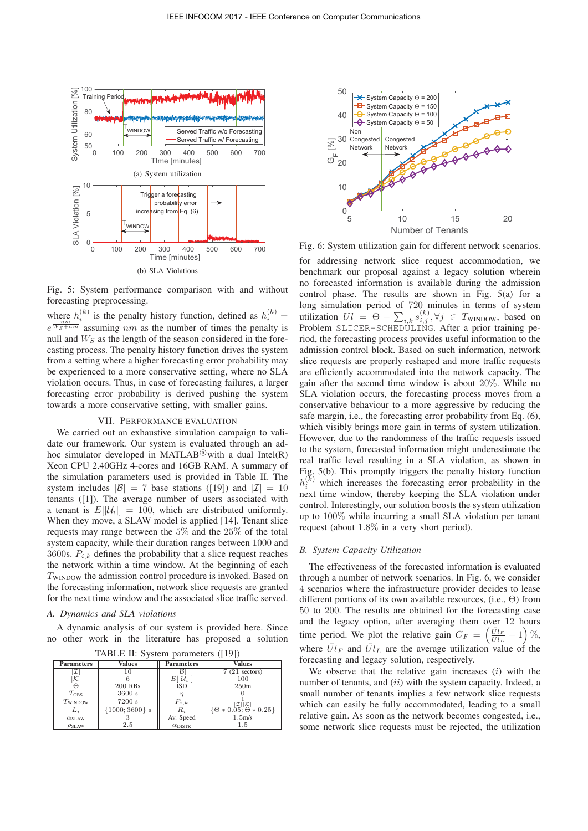

Fig. 5: System performance comparison with and without forecasting preprocessing.

where  $h_i^{(k)}$  is the penalty history function, defined as  $h_i^{(k)}$  $e^{\frac{n m}{W_S+n_m}}$  assuming *nm* as the number of times the penalty is null and  $W<sub>S</sub>$  as the length of the season considered in the forecasting process. The penalty history function drives the system from a setting where a higher forecasting error probability may be experienced to a more conservative setting, where no SLA violation occurs. Thus, in case of forecasting failures, a larger forecasting error probability is derived pushing the system towards a more conservative setting, with smaller gains.

#### VII. PERFORMANCE EVALUATION

We carried out an exhaustive simulation campaign to validate our framework. Our system is evaluated through an adhoc simulator developed in MATLAB<sup>®</sup> with a dual Intel(R) Xeon CPU 2.40GHz 4-cores and 16GB RAM. A summary of the simulation parameters used is provided in Table II. The system includes  $|\mathcal{B}| = 7$  base stations ([19]) and  $|\mathcal{I}| = 10$ tenants ([1]). The average number of users associated with a tenant is  $E[|\mathcal{U}_i|] = 100$ , which are distributed uniformly. When they move, a SLAW model is applied [14]. Tenant slice requests may range between the 5% and the 25% of the total system capacity, while their duration ranges between 1000 and 3600s.  $P_{i,k}$  defines the probability that a slice request reaches the network within a time window. At the beginning of each  $T_{\text{WINDOW}}$  the admission control procedure is invoked. Based on the forecasting information, network slice requests are granted for the next time window and the associated slice traffic served.

#### *A. Dynamics and SLA violations*

A dynamic analysis of our system is provided here. Since no other work in the literature has proposed a solution

 $TA$  DI $E$  II:  $S_{\text{cutoff}}$  parameters ( $[10]$ )

| TADLE II. SYSICIII PARRIFERIS (1911) |                    |                           |                                                                       |  |  |  |
|--------------------------------------|--------------------|---------------------------|-----------------------------------------------------------------------|--|--|--|
| <b>Parameters</b>                    | <b>Values</b>      | <b>Parameters</b>         | <b>Values</b>                                                         |  |  |  |
| I                                    | 10                 | B                         | $7(21$ sectors)                                                       |  |  |  |
| $\cal K$                             |                    | $E[ \mathcal{U}_i ]$      | 100                                                                   |  |  |  |
| Θ                                    | 200 RBs            | <b>ISD</b>                | 250m                                                                  |  |  |  |
| $T_{\rm OBS}$                        | 3600 s             |                           |                                                                       |  |  |  |
| <b>TWINDOW</b>                       | 7200 s             | $P_{i,k}$                 |                                                                       |  |  |  |
| $L_i$                                | $\{1000; 3600\}$ s | $R_i$                     | $\frac{ \mathcal{I}  \mathcal{K} }{\{\Theta * 0.05; \Theta * 0.25\}}$ |  |  |  |
| $\alpha$ SLAW                        |                    | Av. Speed                 | 1.5 <sub>m/s</sub>                                                    |  |  |  |
| $\rho$ SLAW                          | 2.5                | $\alpha$ <sub>DISTR</sub> | $1.5\,$                                                               |  |  |  |



Fig. 6: System utilization gain for different network scenarios.

for addressing network slice request accommodation, we benchmark our proposal against a legacy solution wherein no forecasted information is available during the admission control phase. The results are shown in Fig. 5(a) for a long simulation period of 720 minutes in terms of system<br>utilization  $IU = \Theta \sum e^{(k)} \forall i \in T_{\text{temp}}$  mush based on utilization  $UI = \Theta - \sum_{i,k} s_{i,j}^{(k)}, \forall j \in T_{\text{WINDOW}},$  based on<br>Problem SLICER-SCHEDULLNG. After a prior training pe-Problem SLICER-SCHEDULING. After a prior training period, the forecasting process provides useful information to the admission control block. Based on such information, network slice requests are properly reshaped and more traffic requests are efficiently accommodated into the network capacity. The gain after the second time window is about 20%. While no SLA violation occurs, the forecasting process moves from a conservative behaviour to a more aggressive by reducing the safe margin, i.e., the forecasting error probability from Eq. (6), which visibly brings more gain in terms of system utilization. However, due to the randomness of the traffic requests issued to the system, forecasted information might underestimate the real traffic level resulting in a SLA violation, as shown in Fig. 5(b). This promptly triggers the penalty history function  $h_i^{(k)}$  which increases the forecasting error probability in the next time window, thereby keeping the SLA violation under control. Interestingly, our solution boosts the system utilization up to 100% while incurring a small SLA violation per tenant request (about 1.8% in a very short period).

#### *B. System Capacity Utilization*

The effectiveness of the forecasted information is evaluated through a number of network scenarios. In Fig. 6, we consider 4 scenarios where the infrastructure provider decides to lease different portions of its own available resources, (i.e., Θ) from 50 to 200. The results are obtained for the forecasting case and the legacy option, after averaging them over 12 hours time period. We plot the relative gain  $G_F = \left(\frac{\bar{U}l_F}{Ul_L} - 1\right)\%$ where  $\bar{U}l_F$  and  $\bar{U}l_L$  are the average utilization value of the forecasting and legacy solution, respectively.

We observe that the relative gain increases  $(i)$  with the number of tenants, and  $(ii)$  with the system capacity. Indeed, a small number of tenants implies a few network slice requests which can easily be fully accommodated, leading to a small relative gain. As soon as the network becomes congested, i.e., some network slice requests must be rejected, the utilization